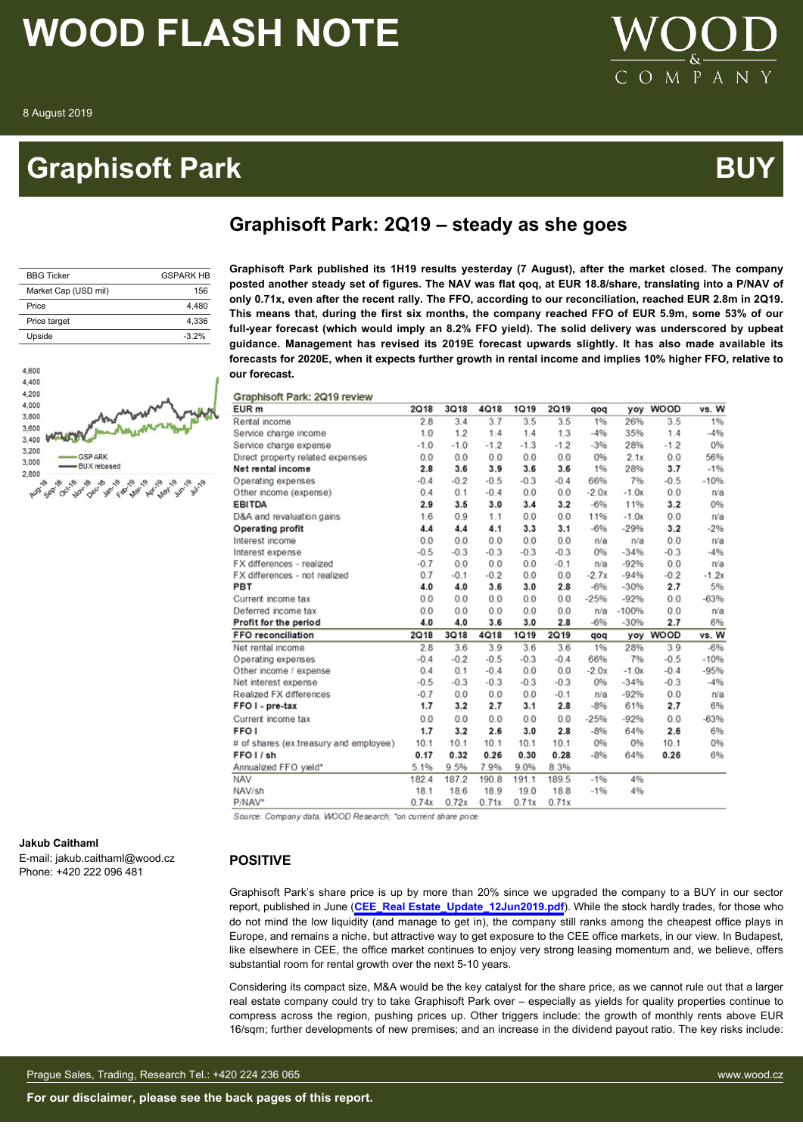### **Graphisoft Park BU**



 $\mathbf{p}$ 

### **Graphisoft Park: 2Q19 – steady as she goes**

| <b>BBG Ticker</b>    | <b>GSPARK HR</b> |
|----------------------|------------------|
| Market Cap (USD mil) | 156              |
| Price                | 4.480            |
| Price target         | 4.336            |
| Upside               | $-3.2%$          |



**Jakub Caithaml**

E-mail: jakub.caithaml@wood.cz Phone: +420 222 096 481

#### **POSITIVE**

Graphisoft Park's share price is up by more than 20% since we upgraded the company to a BUY in our sector report, published in June (**[CEE\\_Real Estate\\_Update\\_12Jun2019.pdf](http://research.wood.cz/opendirect/218111f3-0d95-45a8-b2e6-2a524dbd1d56/CEE_Real%20Estate_Update_12Jun2019.pdf?token=5cecd948-8e1a-4f49-9430-682fce5a7f76&extension=.pdf)**). While the stock hardly trades, for those who do not mind the low liquidity (and manage to get in), the company still ranks among the cheapest office plays in Europe, and remains a niche, but attractive way to get exposure to the CEE office markets, in our view. In Budapest, like elsewhere in CEE, the office market continues to enjoy very strong leasing momentum and, we believe, offers substantial room for rental growth over the next 5-10 years.

Considering its compact size, M&A would be the key catalyst for the share price, as we cannot rule out that a larger real estate company could try to take Graphisoft Park over – especially as yields for quality properties continue to compress across the region, pushing prices up. Other triggers include: the growth of monthly rents above EUR 16/sqm; further developments of new premises; and an increase in the dividend payout ratio. The key risks include:

| <b>Graphisof</b>       |                  |
|------------------------|------------------|
| <b>Graphisoft Park</b> | <b>GSPARK HB</b> |
| posted another s       | 15C              |

**Graphisoft Park published its 1H19 results yesterday (7 August), after the market closed. The company posted another steady set of figures. The NAV was flat qoq, at EUR 18.8/share, translating into a P/NAV of only 0.71x, even after the recent rally. The FFO, according to our reconciliation, reached EUR 2.8m in 2Q19. This means that, during the first six months, the company reached FFO of EUR 5.9m, some 53% of our full-year forecast (which would imply an 8.2% FFO yield). The solid delivery was underscored by upbeat guidance. Management has revised its 2019E forecast upwards slightly. It has also made available its forecasts for 2020E, when it expects further growth in rental income and implies 10% higher FFO, relative to our forecast.**

#### Graphisoft Park: 2019 review

| EUR <sub>m</sub>                       | 2Q18        | <b>3Q18</b> | <b>4Q18</b> | 1Q19   | <b>2Q19</b> | qoq     | yoy     | <b>WOOD</b> | vs. W   |
|----------------------------------------|-------------|-------------|-------------|--------|-------------|---------|---------|-------------|---------|
| Rental income                          | 2.8         | 3.4         | 3.7         | 3.5    | 3.5         | 1%      | 26%     | 3.5         | 1%      |
| Service charge income                  | 1.0         | 1.2         | 1.4         | 1.4    | 1.3         | $-4%$   | 35%     | 1.4         | $-4%$   |
| Service charge expense                 | $-1.0$      | $-1.0$      | $-1.2$      | $-1.3$ | $-1.2$      | $-3%$   | 28%     | $-1.2$      | 0%      |
| Direct property related expenses       | 0.0         | 0.0         | 0.0         | 0.0    | 0.0         | 0%      | 2.1x    | 0.0         | 56%     |
| Net rental income                      | 2.8         | 3.6         | 3.9         | 3.6    | 3.6         | 1%      | 28%     | 3.7         | $-1%$   |
| Operating expenses                     | $-0.4$      | $-0.2$      | $-0.5$      | $-0.3$ | $-0.4$      | 66%     | 7%      | $-0.5$      | $-10%$  |
| Other income (expense)                 | 0.4         | 0.1         | $-0.4$      | 0.0    | 0.0         | $-2.0x$ | $-1.0x$ | 0.0         | n/a     |
| <b>EBITDA</b>                          | 2.9         | 3.5         | 3.0         | 3.4    | 3.2         | $-6%$   | 11%     | 3.2         | 0%      |
| D&A and revaluation gains              | 1.6         | 0.9         | 1.1         | 0.0    | 0.0         | 11%     | $-1.0x$ | 0.0         | n/a     |
| Operating profit                       | 4.4         | 4.4         | 4.1         | 3.3    | 3.1         | $-6%$   | $-29%$  | 3.2         | $-2%$   |
| Interest income                        | 0.0         | 0.0         | 0.0         | 0.0    | 0.0         | n/a     | n/a     | 0.0         | n/a     |
| Interest expense                       | $-0.5$      | $-0.3$      | $-0.3$      | $-0.3$ | $-0.3$      | 0%      | $-34%$  | $-0.3$      | $-4%$   |
| FX differences - realized              | $-0.7$      | 0.0         | 0.0         | 0.0    | $-0.1$      | n/a     | $-92%$  | 0.0         | n/a     |
| FX differences - not realized          | 0.7         | $-0.1$      | $-0.2$      | 0.0    | 0.0         | $-2.7x$ | $-94%$  | $-0.2$      | $-1.2x$ |
| PBT                                    | 4.0         | 4.0         | 3.6         | 3.0    | 2.8         | $-6%$   | $-30%$  | 2.7         | 5%      |
| Current income tax                     | 0.0         | 0.0         | 0.0         | 0.0    | 0.0         | $-25%$  | $-92%$  | 0.0         | $-63%$  |
| Deferred income tax                    | 0.0         | 0.0         | 0.0         | 0.0    | 0.0         | n/a     | $-100%$ | 0.0         | n/a     |
| Profit for the period                  | 4.0         | 4.0         | 3.6         | 3.0    | 2.8         | $-6%$   | $-30%$  | 2.7         | 6%      |
| <b>FFO reconciliation</b>              | <b>2Q18</b> | <b>3Q18</b> | <b>4Q18</b> | 1Q19   | <b>2Q19</b> | qoq     |         | yoy WOOD    | vs. W   |
| Net rental income                      | 2.8         | 3.6         | 3.9         | 3.6    | 3.6         | 1%      | 28%     | 3.9         | $-6%$   |
| Operating expenses                     | $-0.4$      | $-0.2$      | $-0.5$      | $-0.3$ | $-0.4$      | 66%     | 7%      | $-0.5$      | $-10%$  |
| Other income / expense                 | 0.4         | 0.1         | $-0.4$      | 0.0    | 0.0         | $-2.0x$ | $-1.0x$ | $-0.4$      | $-95%$  |
| Net interest expense                   | $-0.5$      | $-0.3$      | $-0.3$      | $-0.3$ | $-0.3$      | 0%      | $-34%$  | $-0.3$      | $-4%$   |
| Realized FX differences                | $-0.7$      | 0.0         | 0.0         | 0.0    | $-0.1$      | n/a     | $-92%$  | 0.0         | n/a     |
| FFO I - pre-tax                        | 1.7         | 3.2         | 2.7         | 3.1    | 2.8         | $-8%$   | 61%     | 2.7         | 6%      |
| Current income tax                     | 0.0         | 0.0         | 0.0         | 0.0    | 0.0         | $-25%$  | $-92%$  | 0.0         | $-63%$  |
| FFO <sub>I</sub>                       | 1.7         | 3.2         | 2.6         | 3.0    | 2.8         | $-8%$   | 64%     | 2.6         | 6%      |
| # of shares (ex.treasury and employee) | 10.1        | 10.1        | 10.1        | 10.1   | 10.1        | 0%      | 0%      | 10.1        | 0%      |
| FFO <sub>I</sub> /sh                   | 0.17        | 0.32        | 0.26        | 0.30   | 0.28        | $-8%$   | 64%     | 0.26        | 6%      |
| Annualized FFO yield*                  | 5.1%        | 9.5%        | 7.9%        | 9.0%   | 8.3%        |         |         |             |         |
| NAV                                    | 182.4       | 187.2       | 190.8       | 191.1  | 189.5       | $-1%$   | 4%      |             |         |
| NAV/sh                                 | 18.1        | 18.6        | 18.9        | 19.0   | 18.8        | $-1%$   | 4%      |             |         |
| P/NAV*                                 | 0.74x       | 0.72x       | 0.71x       | 0.71x  | 0.71x       |         |         |             |         |

Source: Company data, WOOD Research; \*on current share price

Prague Sales, Trading, Research Tel.: +420 224 236 065 www.wood.cz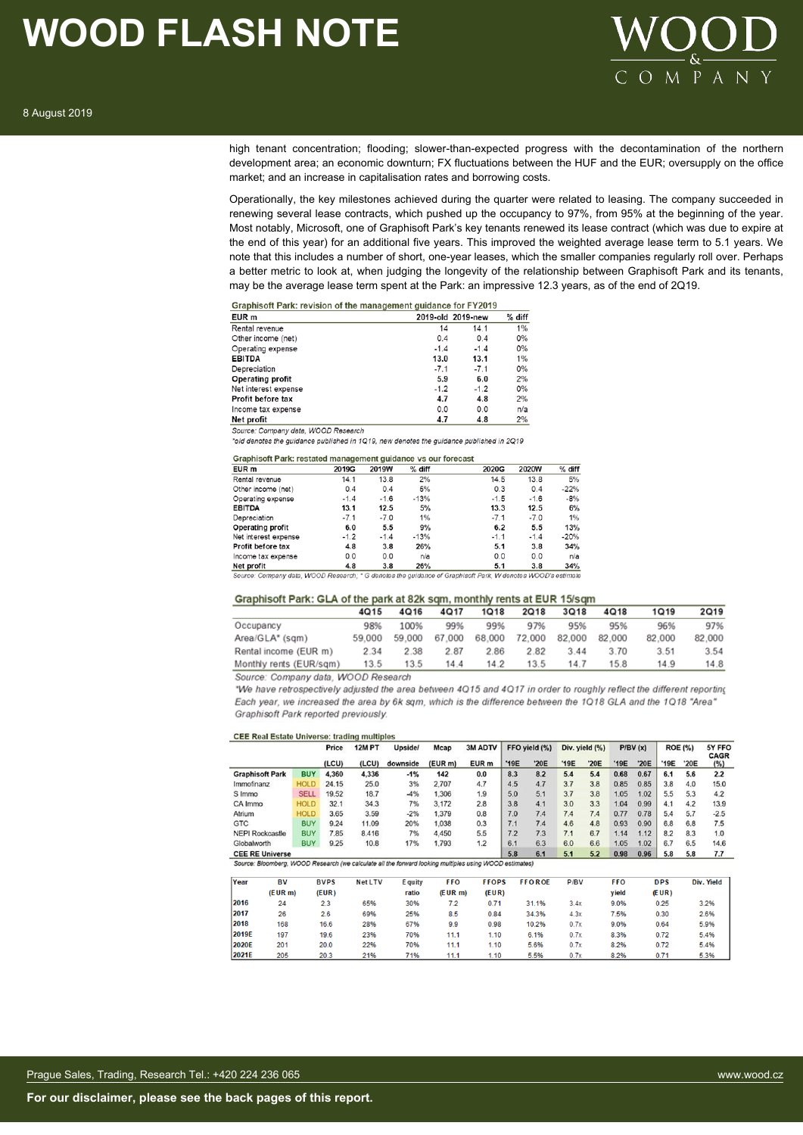

high tenant concentration; flooding; slower-than-expected progress with the decontamination of the northern development area; an economic downturn; FX fluctuations between the HUF and the EUR; oversupply on the office market; and an increase in capitalisation rates and borrowing costs.

Operationally, the key milestones achieved during the quarter were related to leasing. The company succeeded in renewing several lease contracts, which pushed up the occupancy to 97%, from 95% at the beginning of the year. Most notably, Microsoft, one of Graphisoft Park's key tenants renewed its lease contract (which was due to expire at the end of this year) for an additional five years. This improved the weighted average lease term to 5.1 years. We note that this includes a number of short, one-year leases, which the smaller companies regularly roll over. Perhaps a better metric to look at, when judging the longevity of the relationship between Graphisoft Park and its tenants, may be the average lease term spent at the Park: an impressive 12.3 years, as of the end of 2Q19.

| Graphisoft Park: revision of the management quidance for FY2019 |        |                   |        |
|-----------------------------------------------------------------|--------|-------------------|--------|
| EUR <sub>m</sub>                                                |        | 2019-old 2019-new | % diff |
| Rental revenue                                                  | 14     | 14.1              | 1%     |
| Other income (net)                                              | 0.4    | 0.4               | 0%     |
| Operating expense                                               | $-1.4$ | $-1.4$            | 0%     |
| <b>EBITDA</b>                                                   | 13.0   | 13.1              | $1\%$  |
| Depreciation                                                    | $-7.1$ | $-7.1$            | 0%     |
| <b>Operating profit</b>                                         | 5.9    | 6.0               | 2%     |
| Net interest expense                                            | $-1.2$ | $-1.2$            | $0\%$  |
| <b>Profit before tax</b>                                        | 4.7    | 4.8               | 2%     |
| Income tax expense                                              | 0.0    | 0.0               | n/a    |
| Net profit                                                      | 4.7    | 4.8               | 2%     |

Source: Company data, WOOD Research

\*old denotes the quidance published in 1Q19, new denotes the quidance published in 2Q19

Crapbic of Park: rectated management quidance ys our forecast

| EUR m                | 2019G  | 2019W  | % diff     | 2020G  | 2020W  | % diff |
|----------------------|--------|--------|------------|--------|--------|--------|
| Rental revenue       | 14.1   | 13.8   | 2%         | 14.5   | 13.8   | 5%     |
| Other income (net)   | 0.4    | 0.4    | 5%         | 0.3    | 0.4    | $-22%$ |
| Operating expense    | $-1.4$ | $-1.6$ | $-13%$     | $-1.5$ | $-1.6$ | $-8%$  |
| <b>EBITDA</b>        | 13.1   | 12.5   | 5%         | 13.3   | 12.5   | 6%     |
| Depreciation         | $-7.1$ | $-7.0$ | 1%         | $-7.1$ | $-7.0$ | 1%     |
| Operating profit     | 6.0    | 5.5    | 9%         | 6.2    | 5.5    | 13%    |
| Net interest expense | $-1.2$ | $-1.4$ | $-13%$     | $-1.1$ | $-1.4$ | $-20%$ |
| Profit before tax    | 4.8    | 3.8    | 26%        | 5.1    | 3.8    | 34%    |
| Income tax expense   | 0.0    | 0.0    | n/a        | 0.0    | 0.0    | n/a    |
| Net profit           | 4.8    | 3.8    | <b>26%</b> | 5.1    | 3.8    | 34%    |

ny data, WOOD Research; \* G denotes the guidance of Graphisoft Park, W denotes WOOD's es

#### Graphisoft Park: GLA of the park at 82k sqm, monthly rents at EUR 15/sqm

|                         | 4015   | 4Q16   | 4Q17   | 1Q18   | 2Q18   | 3Q18   | 4Q18   | 1Q19   | 2Q19   |
|-------------------------|--------|--------|--------|--------|--------|--------|--------|--------|--------|
| Occupancy               | 98%    | 100%   | 99%    | 99%    | 97%    | 95%    | 95%    | 96%    | 97%    |
| Area/GLA* (sqm)         | 59.000 | 59.000 | 67.000 | 68.000 | 72,000 | 82.000 | 82.000 | 82.000 | 82,000 |
| Rental income (EUR m)   | 2.34   | 2.38   | 2.87   | 2.86   | 2.82   | 3.44   | 3.70   | 3.51   | 3.54   |
| Monthly rents (EUR/sam) | 13.5   | 13.5   | 14.4   | 14.2   | 13.5   | 14.7   | 15.8   | 14.9   | 14.8   |

Source: Company data, WOOD Research

"We have retrospectively adjusted the area between 4Q15 and 4Q17 in order to roughly reflect the different reporting Each year, we increased the area by 6k sqm, which is the difference between the 1Q18 GLA and the 1Q18 "Area" Graphisoft Park reported previously.

|                                                                                                                |           |             | Price       | <b>12M PT</b> | <b>Upside/</b> | Mcap       | 3M ADTV          |      | FFO yield (%) |      | Div. yield (%) |            | P/BV(x) |            | <b>ROE (%)</b> | 5Y FFO<br><b>CAGR</b> |
|----------------------------------------------------------------------------------------------------------------|-----------|-------------|-------------|---------------|----------------|------------|------------------|------|---------------|------|----------------|------------|---------|------------|----------------|-----------------------|
|                                                                                                                |           |             | (LCU)       | (LCU)         | downside       | (EUR m)    | EUR <sub>m</sub> | '19E | '20E          | '19E | '20E           | '19E       | '20E    | '19E       | '20E           | (%)                   |
| <b>Graphisoft Park</b>                                                                                         |           | <b>BUY</b>  | 4,360       | 4,336         | $-1%$          | 142        | 0.0              | 8.3  | 8.2           | 5.4  | 5.4            | 0.68       | 0.67    | 6.1        | 5.6            | 2.2                   |
| Immofinanz                                                                                                     |           | <b>HOLD</b> | 24.15       | 25.0          | 3%             | 2.707      | 4.7              | 4.5  | 4.7           | 3.7  | 3.8            | 0.85       | 0.85    | 3.8        | 4.0            | 15.0                  |
| S Immo                                                                                                         |           | <b>SELL</b> | 19.52       | 18.7          | $-4%$          | 1.306      | 1.9              | 5.0  | 5.1           | 3.7  | 3.8            | 1.05       | 1.02    | 5.5        | 5.3            | 4.2                   |
| CA Immo                                                                                                        |           | <b>HOLD</b> | 32.1        | 34.3          | 7%             | 3,172      | 2.8              | 3.8  | 4.1           | 3.0  | 3.3            | 1.04       | 0.99    | 4.1        | 4.2            | 13.9                  |
| Atrium                                                                                                         |           | <b>HOLD</b> | 3.65        | 3.59          | $-2%$          | 1.379      | 0.8              | 7.0  | 7.4           | 7.4  | 7.4            | 0.77       | 0.78    | 5.4        | 5.7            | $-2.5$                |
| <b>GTC</b>                                                                                                     |           | <b>BUY</b>  | 9.24        | 11.09         | 20%            | 1,038      | 0.3              | 7.1  | 7.4           | 4.6  | 4.8            | 0.93       | 0.90    | 6.8        | 6.8            | 7.5                   |
| <b>NEPI Rockcastle</b>                                                                                         |           | <b>BUY</b>  | 7.85        | 8.416         | 7%             | 4,450      | 5.5              | 7.2  | 7.3           | 7.1  | 6.7            | 1.14       | 1.12    | 8.2        | 8.3            | 1.0                   |
| Globalworth                                                                                                    |           | <b>BUY</b>  | 9.25        | 10.8          | 17%            | 1,793      | 1.2              | 6.1  | 6.3           | 6.0  | 6.6            | 1.05       | 1.02    | 6.7        | 6.5            | 14.6                  |
| <b>CEE RE Universe</b>                                                                                         |           |             |             |               |                |            |                  | 5.8  | 6.1           | 5.1  | 5.2            | 0.98       | 0.96    | 5.8        | 5.8            | 7.7                   |
| Source: Bloomberg, WOOD Research (we calculate all the forward looking multiples using WOOD estimates)<br>Year | <b>BV</b> |             |             |               |                |            |                  |      |               |      |                |            |         |            |                |                       |
|                                                                                                                |           |             | <b>BVPS</b> | Net LTV       | E quity        | <b>FFO</b> | <b>FFOPS</b>     |      | <b>FFOROE</b> | P/BV |                | <b>FFO</b> |         | <b>DPS</b> |                | Div. Yield            |
|                                                                                                                | (EURm)    |             | (EUR)       |               | ratio          | $(EUR$ m)  | (EUR)            |      |               |      |                | vield      |         | (EUR)      |                |                       |
| 2016                                                                                                           | 24        |             | 2.3         | 65%           | 30%            | 7.2        | 0.71             |      | 31.1%         | 3.4x |                | 9.0%       |         | 0.25       |                | 3.2%                  |
| 2017                                                                                                           | 26        |             | 2.6         | 69%           | 25%            | 8.5        | 0.84             |      | 34.3%         | 4.3x |                | 7.5%       |         | 0.30       |                | 2.6%                  |
| 2018                                                                                                           | 168       |             | 16.6        | 28%           | 67%            | 9.9        | 0.98             |      | 10.2%         | 0.7x |                | 9.0%       |         | 0.64       |                | 5.9%                  |
| 2019F                                                                                                          | 197       |             | 19 R        | 23%           | 70%            | 1111       | 110              |      | 6.1%          | 0.7x |                | 8.3%       |         | 0.72       |                | 5.4%                  |

 $1,10$ 

 $1.10$ 

5.6%

5.5%

 $0.7x$ 

 $0.7<sub>2</sub>$ 

8.2%

8.2%

 $0.72$ 

0.71

5.4%

5.3%

ansus

2021E

 $201$ 

 $20<sub>5</sub>$ 

 $200$ 

20.3

22%

21%

70%

71%

 $11.1$ 

 $11.1$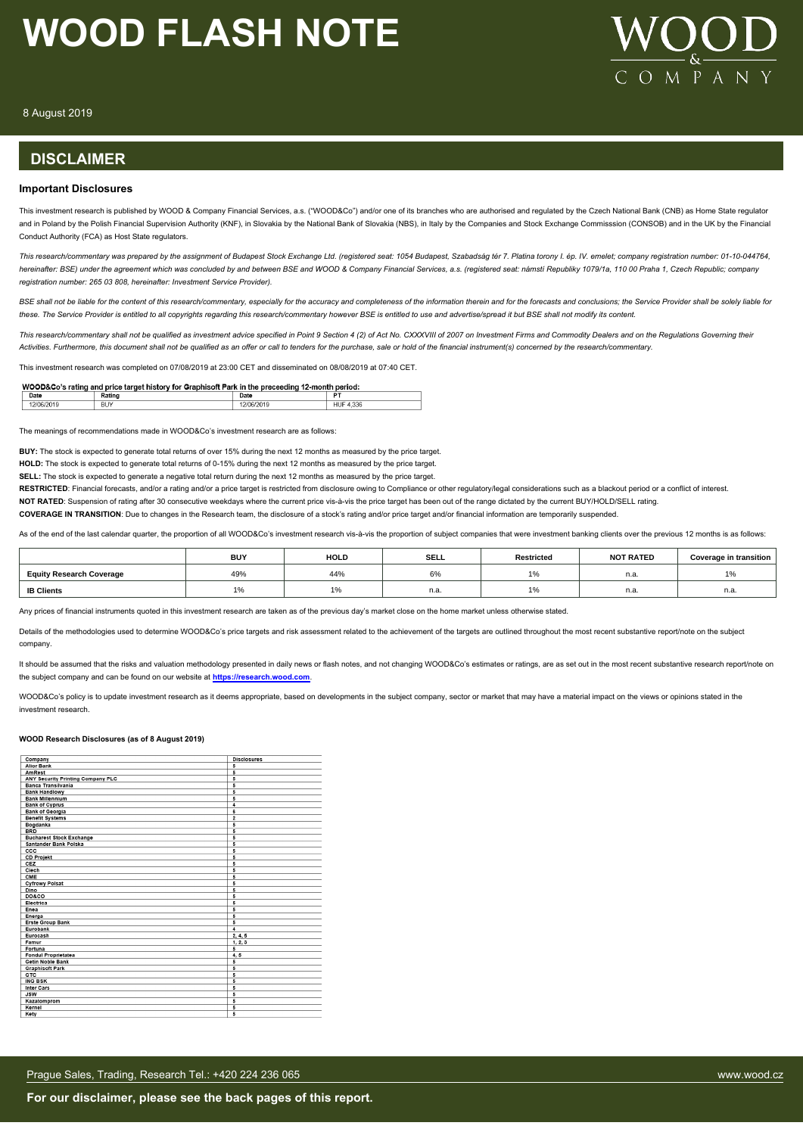

8 August 2019

#### **DISCLAIMER**

#### **Important Disclosures**

This investment research is published by WOOD & Company Financial Services, a.s. ("WOOD&Co") and/or one of its branches who are authorised and regulated by the Czech National Bank (CNB) as Home State regulator and in Poland by the Polish Financial Supervision Authority (KNF), in Slovakia by the National Bank of Slovakia (NBS), in Italy by the Companies and Stock Exchange Commisssion (CONSOB) and in the UK by the Financial Conduct Authority (FCA) as Host State regulators.

*This research/commentary was prepared by the assignment of Budapest Stock Exchange Ltd. (registered seat: 1054 Budapest, Szabadság tér 7. Platina torony I. ép. IV. emelet; company registration number: 01-10-044764, hereinafter: BSE) under the agreement which was concluded by and between BSE and WOOD & Company Financial Services, a.s. (registered seat: námstí Republiky 1079/1a, 110 00 Praha 1, Czech Republic; company registration number: 265 03 808, hereinafter: Investment Service Provider).*

BSE shall not be liable for the content of this research/commentary, especially for the accuracy and completeness of the information therein and for the forecasts and conclusions; the Service Provider shall be solely liabl *these. The Service Provider is entitled to all copyrights regarding this research/commentary however BSE is entitled to use and advertise/spread it but BSE shall not modify its content.*

*This research/commentary shall not be qualified as investment advice specified in Point 9 Section 4 (2) of Act No. CXXXVIII of 2007 on Investment Firms and Commodity Dealers and on the Regulations Governing their Activities. Furthermore, this document shall not be qualified as an offer or call to tenders for the purchase, sale or hold of the financial instrument(s) concerned by the research/commentary.*

This investment research was completed on 07/08/2019 at 23:00 CET and disseminated on 08/08/2019 at 07:40 CET.

| WOOD&Co's rating and price target history for Graphisoft Park in the preceeding 12-month period: |        |      |                  |  |  |  |  |
|--------------------------------------------------------------------------------------------------|--------|------|------------------|--|--|--|--|
| Date                                                                                             | Rating | Date | n.               |  |  |  |  |
| 12/06/2019                                                                                       | BUY    |      | <b>HUF 4.336</b> |  |  |  |  |

The meanings of recommendations made in WOOD&Co's investment research are as follows:

**BUY:** The stock is expected to generate total returns of over 15% during the next 12 months as measured by the price target.

**HOLD:** The stock is expected to generate total returns of 0-15% during the next 12 months as measured by the price target.

**SELL:** The stock is expected to generate a negative total return during the next 12 months as measured by the price target.

RESTRICTED: Financial forecasts, and/or a rating and/or a price target is restricted from disclosure owing to Compliance or other regulatory/legal considerations such as a blackout period or a conflict of interest.

NOT RATED: Suspension of rating after 30 consecutive weekdays where the current price vis-à-vis the price target has been out of the range dictated by the current BUY/HOLD/SELL rating.

**COVERAGE IN TRANSITION**: Due to changes in the Research team, the disclosure of a stock's rating and/or price target and/or financial information are temporarily suspended.

As of the end of the last calendar quarter, the proportion of all WOOD&Co's investment research vis-à-vis the proportion of subject companies that were investment banking clients over the previous 12 months is as follows:

|                                 | <b>BUY</b> | <b>HOLD</b> | <b>SELL</b> | Restricted | <b>NOT RATED</b> | Coverage in transition |
|---------------------------------|------------|-------------|-------------|------------|------------------|------------------------|
| <b>Equity Research Coverage</b> | 49%        | 44%         | co.<br>o%   |            | n.a              | $\frac{1}{2}$          |
| <b>IB Clients</b>               |            |             | n.a.        |            | n.a              | n.a.                   |

Any prices of financial instruments quoted in this investment research are taken as of the previous day's market close on the home market unless otherwise stated

Details of the methodologies used to determine WOOD&Co's price targets and risk assessment related to the achievement of the targets are outlined throughout the most recent substantive report/note on the subject company.

It should be assumed that the risks and valuation methodology presented in daily news or flash notes, and not changing WOOD&Co's estimates or ratings, are as set out in the most recent substantive research report/note on the subject company and can be found on our website at **[https://research.wood.com](https://research.wood.com/)**.

WOOD&Co's policy is to update investment research as it deems appropriate, based on developments in the subject company, sector or market that may have a material impact on the views or opinions stated in the investment research.

#### **WOOD Research Disclosures (as of 8 August 2019)**

| Company                           | <b>Disclosures</b>      |
|-----------------------------------|-------------------------|
| <b>Alior Bank</b>                 | 5                       |
| AmRest                            | 5                       |
| ANY Security Printing Company PLC | 5                       |
| Banca Transilvania                | 5                       |
| <b>Bank Handlowy</b>              | 5                       |
| <b>Bank Millennium</b>            | 5                       |
| <b>Bank of Cyprus</b>             | $\overline{4}$          |
| <b>Bank of Georgia</b>            | 6                       |
| <b>Benefit Systems</b>            | $\overline{\mathbf{2}}$ |
| Bogdanka                          | 5                       |
| <b>BRD</b>                        | 5                       |
| <b>Bucharest Stock Exchange</b>   | 5                       |
| Santander Bank Polska             | 5                       |
| ccc                               | 5                       |
| <b>CD Projekt</b>                 | 5                       |
| CEZ                               | 5                       |
| Clech                             | 5                       |
| CME                               | 5                       |
| <b>Cyfrowy Polsat</b>             | 5                       |
| Dino                              | 5                       |
| <b>DO&amp;CO</b>                  | 5                       |
| Electrica                         | 5                       |
| Enea                              | 5                       |
| Energa                            | 5                       |
| <b>Erste Group Bank</b>           | 5                       |
| Eurobank                          | $\overline{4}$          |
| Eurocash                          | 2, 4, 5                 |
| Famur                             | 1, 2, 3                 |
| Fortuna                           | 5                       |
| <b>Fondul Proprietatea</b>        | 4, 5                    |
| <b>Getin Noble Bank</b>           | 5                       |
| <b>Graphisoft Park</b>            | 5                       |
| GTC                               | 5                       |
| <b>ING BSK</b>                    | 5                       |
| <b>Inter Cars</b>                 | 5                       |
| <b>JSW</b>                        | 5                       |
| Kazatomprom                       | 5                       |
| Kernel                            | 5                       |
| Kety                              | 5                       |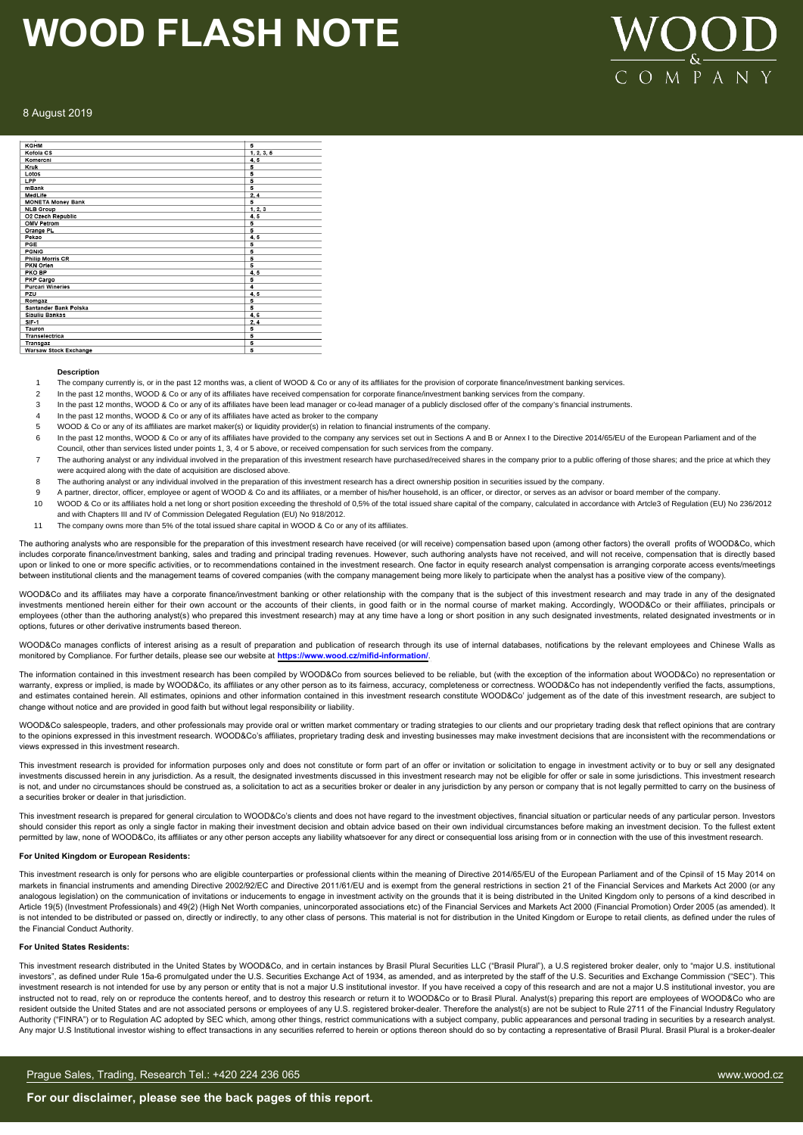

#### 8 August 2019

| <b>KGHM</b>                         | 5          |
|-------------------------------------|------------|
| Kofola CS                           | 1, 2, 3, 5 |
| Komercni                            | 4,5        |
| Kruk                                | 5          |
| Lotos                               | 5          |
| LPP                                 | 5          |
| mBank                               | 5          |
| MedLife                             | 2.4        |
| <b>MONETA Money Bank</b>            | 5          |
| <b>NLB Group</b>                    | 1, 2, 3    |
| O2 Czech Republic                   | 4,5        |
| <b>OMV Petrom</b>                   | 5          |
| Orange PL                           | 5          |
| Pekao                               | 4.5        |
| PGE                                 | 5          |
| <b>PGNIG</b>                        | 5          |
| <b>Philip Morris CR</b>             | 5          |
| PKN Orlen                           | 5          |
| PKO BP                              | 4,5        |
| PKP Cargo                           | 5          |
| <b>Purcari Wineries</b>             | 4          |
| PZU                                 | 4.5        |
| Romgaz                              | 5          |
| Santander Bank Polska               | 5          |
| <b>Siauliu Bankas</b>               | 4,6        |
| $SIF-1$                             | 2, 4       |
| Tauron                              | 5          |
| Transelectrica                      | 5          |
| Transgaz                            | 5          |
| the company when who through a com- |            |

#### **Description**

- The company currently is, or in the past 12 months was, a client of WOOD & Co or any of its affiliates for the provision of corporate finance/investment banking services.
- In the past 12 months, WOOD & Co or any of its affiliates have received compensation for corporate finance/investment banking services from the company.
- In the past 12 months, WOOD & Co or any of its affiliates have been lead manager or co-lead manager of a publicly disclosed offer of the company's financial instruments
- 4 In the past 12 months, WOOD & Co or any of its affiliates have acted as broker to the company
- 5 WOOD & Co or any of its affiliates are market maker(s) or liquidity provider(s) in relation to financial instruments of the company.
- 6 In the past 12 months, WOOD & Co or any of its affiliates have provided to the company any services set out in Sections A and B or Annex I to the Directive 2014/65/EU of the European Parliament and of the Council, other than services listed under points 1, 3, 4 or 5 above, or received compensation for such services from the company.
- 7 The authoring analyst or any individual involved in the preparation of this investment research have purchased/received shares in the company prior to a public offering of those shares; and the price at which they were acquired along with the date of acquisition are disclosed above.
- 8 The authoring analyst or any individual involved in the preparation of this investment research has a direct ownership position in securities issued by the company.
- A partner, director, officer, employee or agent of WOOD & Co and its affiliates, or a member of his/her household, is an officer, or director, or serves as an advisor or board member of the company.
- 10 WOOD & Co or its affiliates hold a net long or short position exceeding the threshold of 0,5% of the total issued share capital of the company, calculated in accordance with Artcle3 of Regulation (EU) No 236/2012 and with Chapters III and IV of Commission Delegated Regulation (EU) No 918/2012.
- 11 The company owns more than 5% of the total issued share capital in WOOD & Co or any of its affiliates.

The authoring analysts who are responsible for the preparation of this investment research have received (or will receive) compensation based upon (among other factors) the overall profits of WOOD&Co, which includes corporate finance/investment banking, sales and trading and principal trading revenues. However, such authoring analysts have not received, and will not receive, compensation that is directly based upon or linked to one or more specific activities, or to recommendations contained in the investment research. One factor in equity research analyst compensation is arranging corporate access events/meetings between institutional clients and the management teams of covered companies (with the company management being more likely to participate when the analyst has a positive view of the company).

WOOD&Co and its affiliates may have a corporate finance/investment banking or other relationship with the company that is the subject of this investment research and may trade in any of the designated investments mentioned herein either for their own account or the accounts of their clients, in good faith or in the normal course of market making. Accordingly, WOOD&Co or their affiliates, principals or employees (other than the authoring analyst(s) who prepared this investment research) may at any time have a long or short position in any such designated investments, related designated investments or in options, futures or other derivative instruments based thereon.

WOOD&Co manages conflicts of interest arising as a result of preparation and publication of research through its use of internal databases, notifications by the relevant employees and Chinese Walls as monitored by Compliance. For further details, please see our website at **https://www.wood.cz/mifid-information/**.

The information contained in this investment research has been compiled by WOOD&Co from sources believed to be reliable, but (with the exception of the information about WOOD&Co) no representation or warranty, express or implied, is made by WOOD&Co, its affiliates or any other person as to its fairness, accuracy, completeness or correctness. WOOD&Co has not independently verified the facts, assumptions, and estimates contained herein. All estimates, opinions and other information contained in this investment research constitute WOOD&Co' judgement as of the date of this investment research, are subject to change without notice and are provided in good faith but without legal responsibility or liability.

WOOD&Co salespeople, traders, and other professionals may provide oral or written market commentary or trading strategies to our clients and our proprietary trading desk that reflect opinions that are contrary to the opinions expressed in this investment research. WOOD&Co's affiliates, proprietary trading desk and investing businesses may make investment decisions that are inconsistent with the recommendations or views expressed in this investment research.

This investment research is provided for information purposes only and does not constitute or form part of an offer or invitation or solicitation to engage in investment activity or to buy or sell any designated investments discussed herein in any jurisdiction. As a result, the designated investments discussed in this investment research may not be eligible for offer or sale in some jurisdictions. This investment research is not, and under no circumstances should be construed as, a solicitation to act as a securities broker or dealer in any jurisdiction by any person or company that is not legally permitted to carry on the business of a securities broker or dealer in that jurisdiction.

This investment research is prepared for general circulation to WOOD&Co's clients and does not have regard to the investment objectives, financial situation or particular needs of any particular person. Investors should consider this report as only a single factor in making their investment decision and obtain advice based on their own individual circumstances before making an investment decision. To the fullest extent<br>permitted by

#### **For United Kingdom or European Residents:**

This investment research is only for persons who are eligible counterparties or professional clients within the meaning of Directive 2014/65/EU of the European Parliament and of the Cpinsil of 15 May 2014 on markets in financial instruments and amending Directive 2002/92/EC and Directive 2011/61/EU and is exempt from the general restrictions in section 21 of the Financial Services and Markets Act 2000 (or any analogous legislation) on the communication of invitations or inducements to engage in investment activity on the grounds that it is being distributed in the United Kingdom only to persons of a kind described in Article 19(5) (Investment Professionals) and 49(2) (High Net Worth companies, unincorporated associations etc) of the Financial Services and Markets Act 2000 (Financial Promotion) Order 2005 (as amended). It is not intended to be distributed or passed on, directly or indirectly, to any other class of persons. This material is not for distribution in the United Kingdom or Europe to retail clients, as defined under the rules of the Financial Conduct Authority.

#### **For United States Residents:**

This investment research distributed in the United States by WOOD&Co, and in certain instances by Brasil Plural Securities LLC ("Brasil Plural"), a U.S registered broker dealer, only to "major U.S. institutional investors", as defined under Rule 15a-6 promulgated under the U.S. Securities Exchange Act of 1934, as amended, and as interpreted by the staff of the U.S. Securities and Exchange Commission ("SEC"). This investment research is not intended for use by any person or entity that is not a major U.S institutional investor. If you have received a copy of this research and are not a major U.S institutional investor, you are instructed not to read, rely on or reproduce the contents hereof, and to destroy this research or return it to WOOD&Co or to Brasil Plural. Analyst(s) preparing this report are employees of WOOD&Co who are resident outside the United States and are not associated persons or employees of any U.S. registered broker-dealer. Therefore the analyst(s) are not be subject to Rule 2711 of the Financial Industry Regulatory Authority ("FINRA") or to Regulation AC adopted by SEC which, among other things, restrict communications with a subject company, public appearances and personal trading in securities by a research analyst. Any major U.S Institutional investor wishing to effect transactions in any securities referred to herein or options thereon should do so by contacting a representative of Brasil Plural. Brasil Plural is a broker-dealer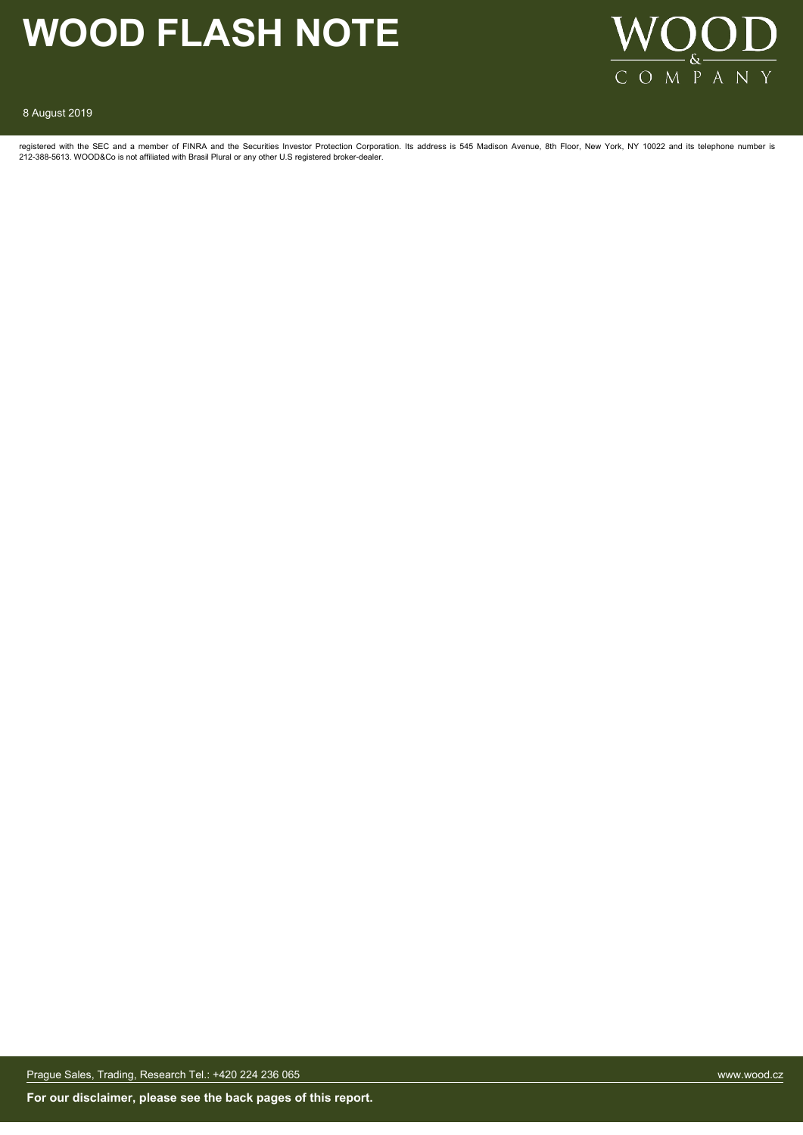

#### 8 August 2019

registered with the SEC and a member of FINRA and the Securities Investor Protection Corporation. Its address is 545 Madison Avenue, 8th Floor, New York, NY 10022 and its telephone number is 212-388-5613. WOOD&Co is not affiliated with Brasil Plural or any other U.S registered broker-dealer.